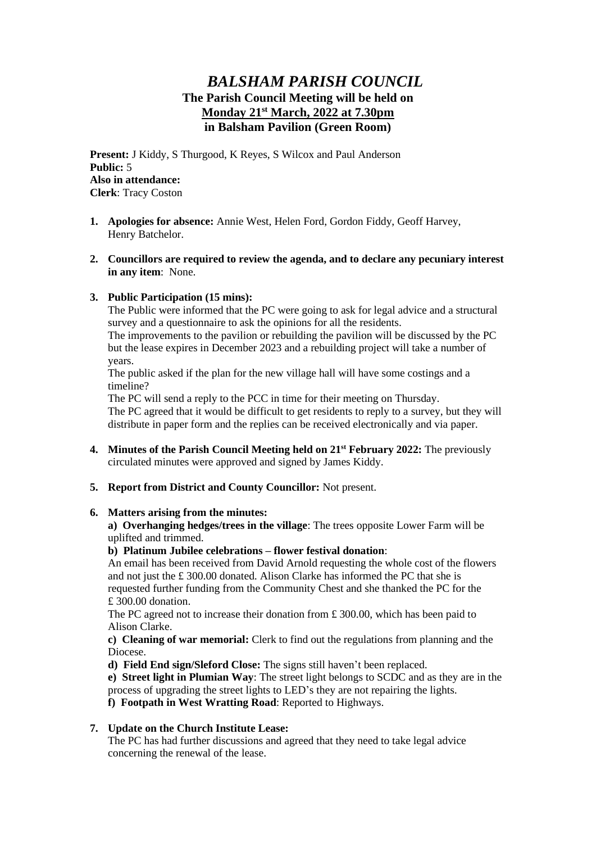# *BALSHAM PARISH COUNCIL* **The Parish Council Meeting will be held on Monday 21st March, 2022 at 7.30pm in Balsham Pavilion (Green Room)**

**Present:** J Kiddy, S Thurgood, K Reyes, S Wilcox and Paul Anderson **Public:** 5 **Also in attendance: Clerk**: Tracy Coston

- **1. Apologies for absence:** Annie West, Helen Ford, Gordon Fiddy, Geoff Harvey, Henry Batchelor.
- **2. Councillors are required to review the agenda, and to declare any pecuniary interest in any item**: None.

### **3. Public Participation (15 mins):**

The Public were informed that the PC were going to ask for legal advice and a structural survey and a questionnaire to ask the opinions for all the residents.

The improvements to the pavilion or rebuilding the pavilion will be discussed by the PC but the lease expires in December 2023 and a rebuilding project will take a number of years.

The public asked if the plan for the new village hall will have some costings and a timeline?

The PC will send a reply to the PCC in time for their meeting on Thursday.

The PC agreed that it would be difficult to get residents to reply to a survey, but they will distribute in paper form and the replies can be received electronically and via paper.

- **4. Minutes of the Parish Council Meeting held on 21st February 2022:** The previously circulated minutes were approved and signed by James Kiddy.
- **5. Report from District and County Councillor:** Not present.

#### **6. Matters arising from the minutes:**

**a) Overhanging hedges/trees in the village**: The trees opposite Lower Farm will be uplifted and trimmed.

## **b) Platinum Jubilee celebrations – flower festival donation**:

An email has been received from David Arnold requesting the whole cost of the flowers and not just the  $£ 300.00$  donated. Alison Clarke has informed the PC that she is requested further funding from the Community Chest and she thanked the PC for the £ 300.00 donation.

The PC agreed not to increase their donation from £ 300.00, which has been paid to Alison Clarke.

**c) Cleaning of war memorial:** Clerk to find out the regulations from planning and the Diocese.

**d) Field End sign/Sleford Close:** The signs still haven't been replaced.

**e) Street light in Plumian Way**: The street light belongs to SCDC and as they are in the process of upgrading the street lights to LED's they are not repairing the lights.

**f) Footpath in West Wratting Road**: Reported to Highways.

## **7. Update on the Church Institute Lease:**

The PC has had further discussions and agreed that they need to take legal advice concerning the renewal of the lease.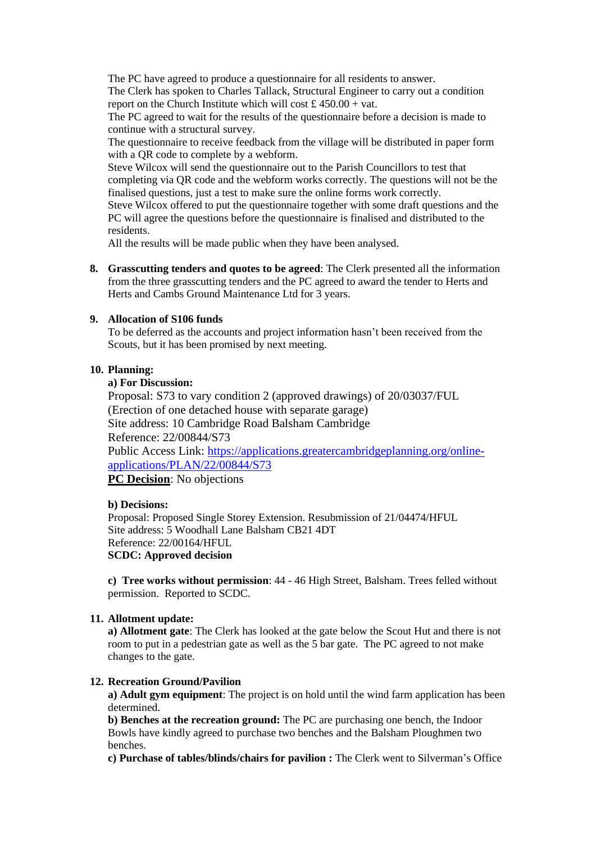The PC have agreed to produce a questionnaire for all residents to answer. The Clerk has spoken to Charles Tallack, Structural Engineer to carry out a condition report on the Church Institute which will cost £  $450.00 + \text{vat}$ .

The PC agreed to wait for the results of the questionnaire before a decision is made to continue with a structural survey.

The questionnaire to receive feedback from the village will be distributed in paper form with a QR code to complete by a webform.

Steve Wilcox will send the questionnaire out to the Parish Councillors to test that completing via QR code and the webform works correctly. The questions will not be the finalised questions, just a test to make sure the online forms work correctly.

Steve Wilcox offered to put the questionnaire together with some draft questions and the PC will agree the questions before the questionnaire is finalised and distributed to the residents.

All the results will be made public when they have been analysed.

**8. Grasscutting tenders and quotes to be agreed**: The Clerk presented all the information from the three grasscutting tenders and the PC agreed to award the tender to Herts and Herts and Cambs Ground Maintenance Ltd for 3 years.

### **9. Allocation of S106 funds**

To be deferred as the accounts and project information hasn't been received from the Scouts, but it has been promised by next meeting.

## **10. Planning:**

#### **a) For Discussion:**

Proposal: S73 to vary condition 2 (approved drawings) of 20/03037/FUL (Erection of one detached house with separate garage) Site address: 10 Cambridge Road Balsham Cambridge Reference: 22/00844/S73 Public Access Link: [https://applications.greatercambridgeplanning.org/online](https://applications.greatercambridgeplanning.org/online-applications/PLAN/22/00844/S73)[applications/PLAN/22/00844/S73](https://applications.greatercambridgeplanning.org/online-applications/PLAN/22/00844/S73) **PC Decision**: No objections

### **b) Decisions:**

Proposal: Proposed Single Storey Extension. Resubmission of 21/04474/HFUL Site address: 5 Woodhall Lane Balsham CB21 4DT Reference: 22/00164/HFUL **SCDC: Approved decision**

**c) Tree works without permission**: 44 - 46 High Street, Balsham. Trees felled without permission. Reported to SCDC.

## **11. Allotment update:**

**a) Allotment gate**: The Clerk has looked at the gate below the Scout Hut and there is not room to put in a pedestrian gate as well as the 5 bar gate. The PC agreed to not make changes to the gate.

# **12. Recreation Ground/Pavilion**

**a) Adult gym equipment**: The project is on hold until the wind farm application has been determined.

**b) Benches at the recreation ground:** The PC are purchasing one bench, the Indoor Bowls have kindly agreed to purchase two benches and the Balsham Ploughmen two benches.

**c) Purchase of tables/blinds/chairs for pavilion :** The Clerk went to Silverman's Office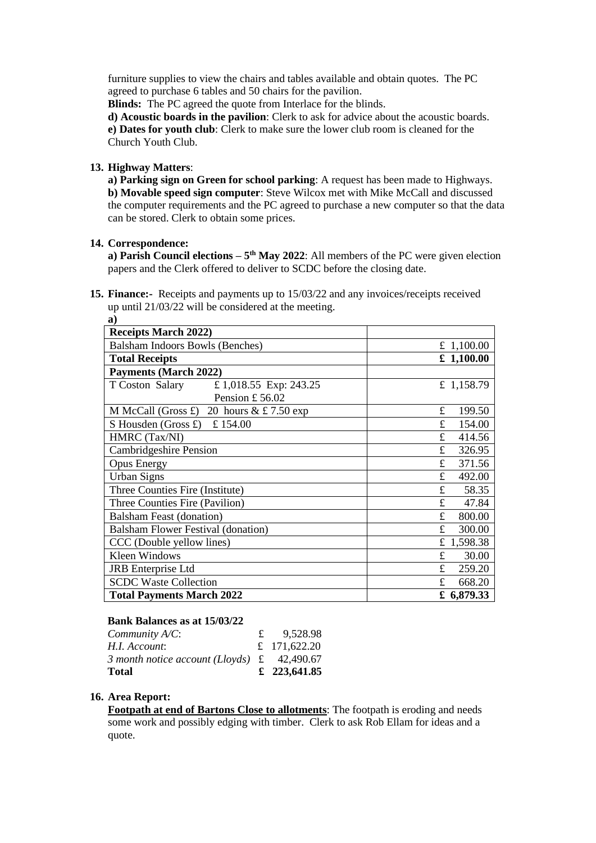furniture supplies to view the chairs and tables available and obtain quotes. The PC agreed to purchase 6 tables and 50 chairs for the pavilion.

**Blinds:** The PC agreed the quote from Interlace for the blinds.

**d) Acoustic boards in the pavilion**: Clerk to ask for advice about the acoustic boards. **e) Dates for youth club**: Clerk to make sure the lower club room is cleaned for the Church Youth Club.

## **13. Highway Matters**:

**a) Parking sign on Green for school parking**: A request has been made to Highways. **b) Movable speed sign computer**: Steve Wilcox met with Mike McCall and discussed the computer requirements and the PC agreed to purchase a new computer so that the data can be stored. Clerk to obtain some prices.

## **14. Correspondence:**

**a) Parish Council elections – 5<sup>th</sup> May 2022**: All members of the PC were given election papers and the Clerk offered to deliver to SCDC before the closing date.

**15. Finance:-** Receipts and payments up to 15/03/22 and any invoices/receipts received up until 21/03/22 will be considered at the meeting.

| a)                                                              |                        |
|-----------------------------------------------------------------|------------------------|
| <b>Receipts March 2022)</b>                                     |                        |
| Balsham Indoors Bowls (Benches)                                 | £ 1,100.00             |
| <b>Total Receipts</b>                                           | £ 1,100.00             |
| <b>Payments (March 2022)</b>                                    |                        |
| T Coston Salary<br>£ 1,018.55 Exp: 243.25                       | £ 1,158.79             |
| Pension £56.02                                                  |                        |
| M McCall (Gross £) 20 hours $& \text{\pounds} 7.50 \text{ exp}$ | £<br>199.50            |
| S Housden (Gross £) £ 154.00                                    | £<br>154.00            |
| HMRC (Tax/NI)                                                   | £<br>414.56            |
| <b>Cambridgeshire Pension</b>                                   | £<br>326.95            |
| <b>Opus Energy</b>                                              | £<br>371.56            |
| <b>Urban Signs</b>                                              | £<br>492.00            |
| Three Counties Fire (Institute)                                 | £<br>58.35             |
| Three Counties Fire (Pavilion)                                  | £<br>47.84             |
| <b>Balsham Feast (donation)</b>                                 | £<br>800.00            |
| <b>Balsham Flower Festival (donation)</b>                       | $\mathbf{f}$<br>300.00 |
| CCC (Double yellow lines)                                       | £ 1,598.38             |
| <b>Kleen Windows</b>                                            | £<br>30.00             |
| <b>JRB</b> Enterprise Ltd                                       | £<br>259.20            |
| <b>SCDC Waste Collection</b>                                    | £<br>668.20            |
| <b>Total Payments March 2022</b>                                | £ 6,879.33             |

### **Bank Balances as at 15/03/22**

| $Commu$ nity $A/C$ :<br>H.I. Account:                      | 9,528.98<br>£ 171,622.20 |
|------------------------------------------------------------|--------------------------|
| 3 month notice account (Lloyds) $\text{\pounds}$ 42,490.67 |                          |
| Total                                                      | £ 223,641.85             |

### **16. Area Report:**

**Footpath at end of Bartons Close to allotments**: The footpath is eroding and needs some work and possibly edging with timber. Clerk to ask Rob Ellam for ideas and a quote.